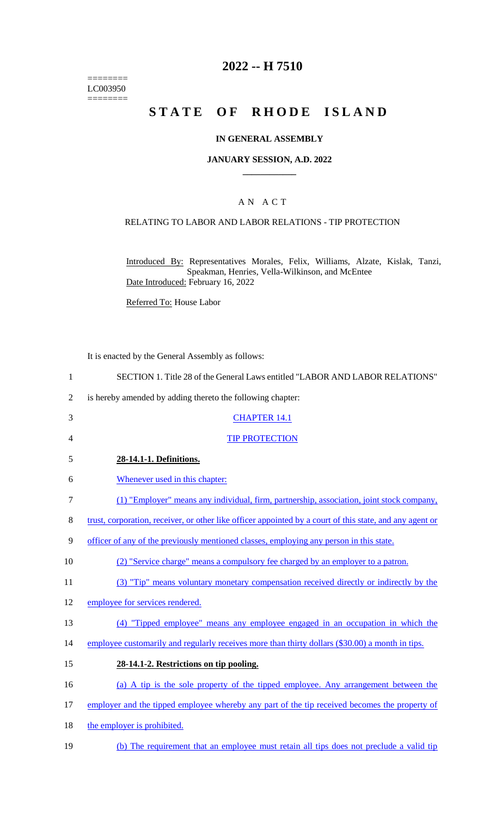======== LC003950  $=$ 

# **2022 -- H 7510**

# **STATE OF RHODE ISLAND**

### **IN GENERAL ASSEMBLY**

### **JANUARY SESSION, A.D. 2022 \_\_\_\_\_\_\_\_\_\_\_\_**

### A N A C T

### RELATING TO LABOR AND LABOR RELATIONS - TIP PROTECTION

Introduced By: Representatives Morales, Felix, Williams, Alzate, Kislak, Tanzi, Speakman, Henries, Vella-Wilkinson, and McEntee Date Introduced: February 16, 2022

Referred To: House Labor

It is enacted by the General Assembly as follows:

| $\mathbf{1}$   | SECTION 1. Title 28 of the General Laws entitled "LABOR AND LABOR RELATIONS"                             |
|----------------|----------------------------------------------------------------------------------------------------------|
| $\overline{2}$ | is hereby amended by adding thereto the following chapter:                                               |
| 3              | <b>CHAPTER 14.1</b>                                                                                      |
| 4              | <b>TIP PROTECTION</b>                                                                                    |
| 5              | 28-14.1-1. Definitions.                                                                                  |
| 6              | Whenever used in this chapter:                                                                           |
| 7              | (1) "Employer" means any individual, firm, partnership, association, joint stock company,                |
| 8              | trust, corporation, receiver, or other like officer appointed by a court of this state, and any agent or |
| 9              | <u>officer of any of the previously mentioned classes, employing any person in this state.</u>           |
| 10             | (2) "Service charge" means a compulsory fee charged by an employer to a patron.                          |
| 11             | (3) "Tip" means voluntary monetary compensation received directly or indirectly by the                   |
| 12             | employee for services rendered.                                                                          |
| 13             | (4) "Tipped employee" means any employee engaged in an occupation in which the                           |
| 14             | employee customarily and regularly receives more than thirty dollars (\$30.00) a month in tips.          |
| 15             | 28-14.1-2. Restrictions on tip pooling.                                                                  |
| 16             | (a) A tip is the sole property of the tipped employee. Any arrangement between the                       |
| 17             | employer and the tipped employee whereby any part of the tip received becomes the property of            |
| 18             | the employer is prohibited.                                                                              |
| 19             | (b) The requirement that an employee must retain all tips does not preclude a valid tip                  |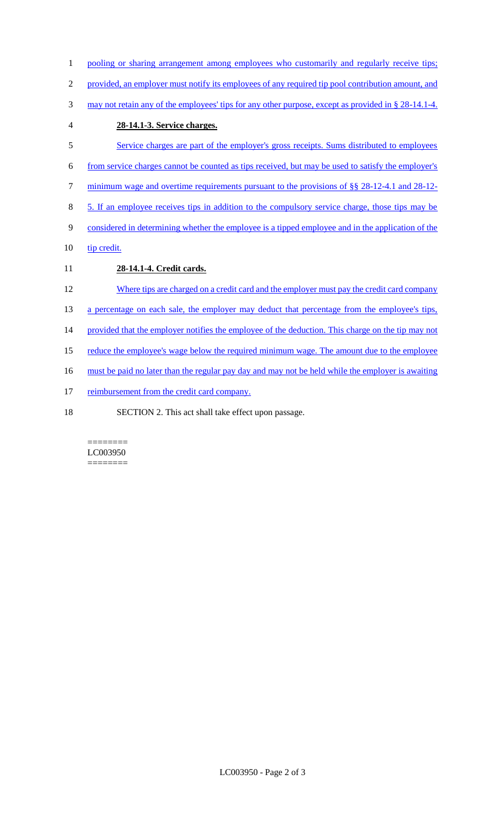- 1 pooling or sharing arrangement among employees who customarily and regularly receive tips; 2 provided, an employer must notify its employees of any required tip pool contribution amount, and 3 may not retain any of the employees' tips for any other purpose, except as provided in § 28-14.1-4. 4 **28-14.1-3. Service charges.**  5 Service charges are part of the employer's gross receipts. Sums distributed to employees 6 from service charges cannot be counted as tips received, but may be used to satisfy the employer's 7 minimum wage and overtime requirements pursuant to the provisions of §§ 28-12-4.1 and 28-12-8 5. If an employee receives tips in addition to the compulsory service charge, those tips may be 9 considered in determining whether the employee is a tipped employee and in the application of the 10 tip credit. 11 **28-14.1-4. Credit cards.**  12 Where tips are charged on a credit card and the employer must pay the credit card company 13 a percentage on each sale, the employer may deduct that percentage from the employee's tips, 14 provided that the employer notifies the employee of the deduction. This charge on the tip may not 15 reduce the employee's wage below the required minimum wage. The amount due to the employee 16 must be paid no later than the regular pay day and may not be held while the employer is awaiting 17 reimbursement from the credit card company.
- 18 SECTION 2. This act shall take effect upon passage.

#### ======== LC003950 ========